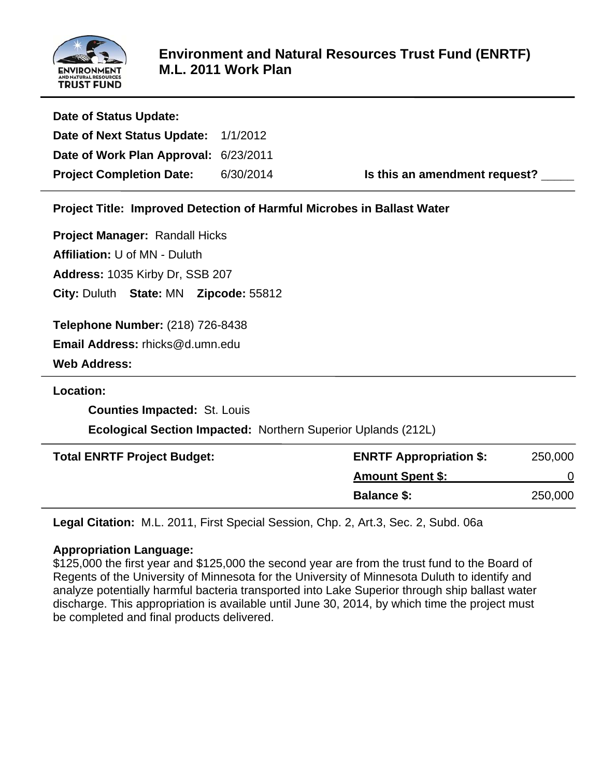

| Date of Status Update:                |           |                               |
|---------------------------------------|-----------|-------------------------------|
| Date of Next Status Update: 1/1/2012  |           |                               |
| Date of Work Plan Approval: 6/23/2011 |           |                               |
| <b>Project Completion Date:</b>       | 6/30/2014 | Is this an amendment request? |

**Project Title: Improved Detection of Harmful Microbes in Ballast Water**

**Project Manager:** Randall Hicks

**Affiliation:** U of MN - Duluth

**Address:** 1035 Kirby Dr, SSB 207

**City:** Duluth **State:** MN **Zipcode:** 55812

**Telephone Number:** (218) 726-8438

**Email Address:** rhicks@d.umn.edu

**Web Address:** 

**Location:** 

 **Counties Impacted:** St. Louis

 **Ecological Section Impacted:** Northern Superior Uplands (212L)

| <b>Total ENRTF Project Budget:</b> | <b>ENRTF Appropriation \$:</b> | 250,000 |
|------------------------------------|--------------------------------|---------|
|                                    | <b>Amount Spent \$:</b>        |         |
|                                    | <b>Balance \$:</b>             | 250,000 |

**Legal Citation:** M.L. 2011, First Special Session, Chp. 2, Art.3, Sec. 2, Subd. 06a

# **Appropriation Language:**

\$125,000 the first year and \$125,000 the second year are from the trust fund to the Board of Regents of the University of Minnesota for the University of Minnesota Duluth to identify and analyze potentially harmful bacteria transported into Lake Superior through ship ballast water discharge. This appropriation is available until June 30, 2014, by which time the project must be completed and final products delivered.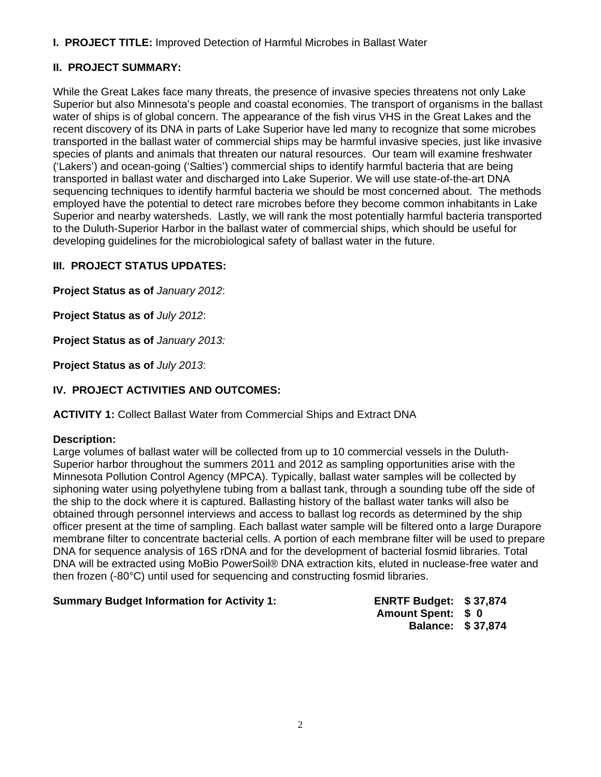**I. PROJECT TITLE:** Improved Detection of Harmful Microbes in Ballast Water

# **II. PROJECT SUMMARY:**

While the Great Lakes face many threats, the presence of invasive species threatens not only Lake Superior but also Minnesota's people and coastal economies. The transport of organisms in the ballast water of ships is of global concern. The appearance of the fish virus VHS in the Great Lakes and the recent discovery of its DNA in parts of Lake Superior have led many to recognize that some microbes transported in the ballast water of commercial ships may be harmful invasive species, just like invasive species of plants and animals that threaten our natural resources. Our team will examine freshwater ('Lakers') and ocean-going ('Salties') commercial ships to identify harmful bacteria that are being transported in ballast water and discharged into Lake Superior. We will use state-of-the-art DNA sequencing techniques to identify harmful bacteria we should be most concerned about. The methods employed have the potential to detect rare microbes before they become common inhabitants in Lake Superior and nearby watersheds. Lastly, we will rank the most potentially harmful bacteria transported to the Duluth-Superior Harbor in the ballast water of commercial ships, which should be useful for developing guidelines for the microbiological safety of ballast water in the future.

# **III. PROJECT STATUS UPDATES:**

**Project Status as of** *January 2012*:

**Project Status as of** *July 2012*:

**Project Status as of** *January 2013:*

**Project Status as of** *July 2013*:

# **IV. PROJECT ACTIVITIES AND OUTCOMES:**

**ACTIVITY 1:** Collect Ballast Water from Commercial Ships and Extract DNA

## **Description:**

Large volumes of ballast water will be collected from up to 10 commercial vessels in the Duluth-Superior harbor throughout the summers 2011 and 2012 as sampling opportunities arise with the Minnesota Pollution Control Agency (MPCA). Typically, ballast water samples will be collected by siphoning water using polyethylene tubing from a ballast tank, through a sounding tube off the side of the ship to the dock where it is captured. Ballasting history of the ballast water tanks will also be obtained through personnel interviews and access to ballast log records as determined by the ship officer present at the time of sampling. Each ballast water sample will be filtered onto a large Durapore membrane filter to concentrate bacterial cells. A portion of each membrane filter will be used to prepare DNA for sequence analysis of 16S rDNA and for the development of bacterial fosmid libraries. Total DNA will be extracted using MoBio PowerSoil® DNA extraction kits, eluted in nuclease-free water and then frozen (-80°C) until used for sequencing and constructing fosmid libraries.

## **Summary Budget Information for Activity 1: ENRTF Budget: \$ 37,874**

**Amount Spent: \$ 0 Balance: \$ 37,874**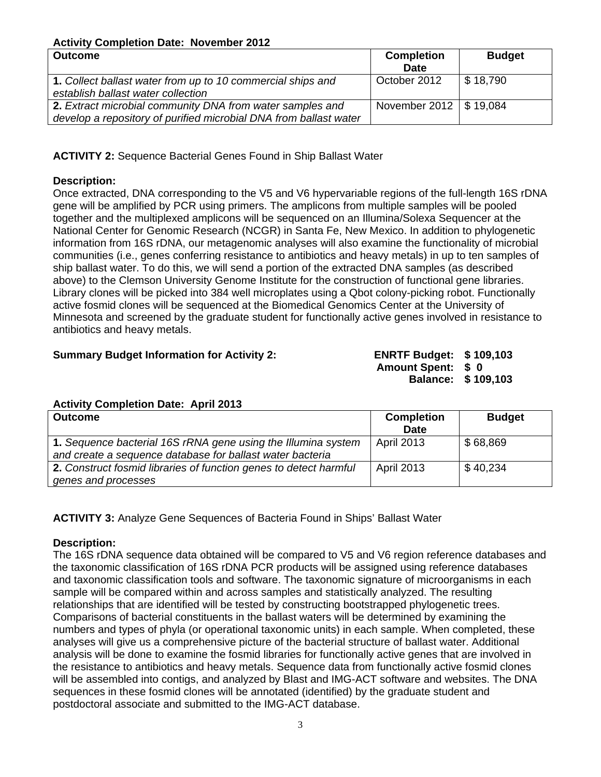# **Activity Completion Date: November 2012**

| <b>Outcome</b>                                                                                    | <b>Completion</b>        | <b>Budget</b>        |
|---------------------------------------------------------------------------------------------------|--------------------------|----------------------|
|                                                                                                   | <b>Date</b>              |                      |
| 1. Collect ballast water from up to 10 commercial ships and<br>establish ballast water collection | October 2012             | $\frac{1}{2}$ 18,790 |
| 2. Extract microbial community DNA from water samples and                                         | November 2012   \$19,084 |                      |
| develop a repository of purified microbial DNA from ballast water                                 |                          |                      |

# **ACTIVITY 2:** Sequence Bacterial Genes Found in Ship Ballast Water

## **Description:**

Once extracted, DNA corresponding to the V5 and V6 hypervariable regions of the full-length 16S rDNA gene will be amplified by PCR using primers. The amplicons from multiple samples will be pooled together and the multiplexed amplicons will be sequenced on an Illumina/Solexa Sequencer at the National Center for Genomic Research (NCGR) in Santa Fe, New Mexico. In addition to phylogenetic information from 16S rDNA, our metagenomic analyses will also examine the functionality of microbial communities (i.e., genes conferring resistance to antibiotics and heavy metals) in up to ten samples of ship ballast water. To do this, we will send a portion of the extracted DNA samples (as described above) to the Clemson University Genome Institute for the construction of functional gene libraries. Library clones will be picked into 384 well microplates using a Qbot colony-picking robot. Functionally active fosmid clones will be sequenced at the Biomedical Genomics Center at the University of Minnesota and screened by the graduate student for functionally active genes involved in resistance to antibiotics and heavy metals.

## **Summary Budget Information for Activity 2: ENRTF Budget: \$ 109,103**

**Amount Spent: \$ 0 Balance: \$ 109,103** 

# **Activity Completion Date: April 2013**

| <b>Outcome</b>                                                    | <b>Completion</b> | <b>Budget</b>          |
|-------------------------------------------------------------------|-------------------|------------------------|
|                                                                   | <b>Date</b>       |                        |
| 1. Sequence bacterial 16S rRNA gene using the Illumina system     | <b>April 2013</b> | \$68,869               |
| and create a sequence database for ballast water bacteria         |                   |                        |
| 2. Construct fosmid libraries of function genes to detect harmful | <b>April 2013</b> | $\frac{1}{2}$ \$40,234 |
| genes and processes                                               |                   |                        |

**ACTIVITY 3:** Analyze Gene Sequences of Bacteria Found in Ships' Ballast Water

## **Description:**

The 16S rDNA sequence data obtained will be compared to V5 and V6 region reference databases and the taxonomic classification of 16S rDNA PCR products will be assigned using reference databases and taxonomic classification tools and software. The taxonomic signature of microorganisms in each sample will be compared within and across samples and statistically analyzed. The resulting relationships that are identified will be tested by constructing bootstrapped phylogenetic trees. Comparisons of bacterial constituents in the ballast waters will be determined by examining the numbers and types of phyla (or operational taxonomic units) in each sample. When completed, these analyses will give us a comprehensive picture of the bacterial structure of ballast water. Additional analysis will be done to examine the fosmid libraries for functionally active genes that are involved in the resistance to antibiotics and heavy metals. Sequence data from functionally active fosmid clones will be assembled into contigs, and analyzed by Blast and IMG-ACT software and websites. The DNA sequences in these fosmid clones will be annotated (identified) by the graduate student and postdoctoral associate and submitted to the IMG-ACT database.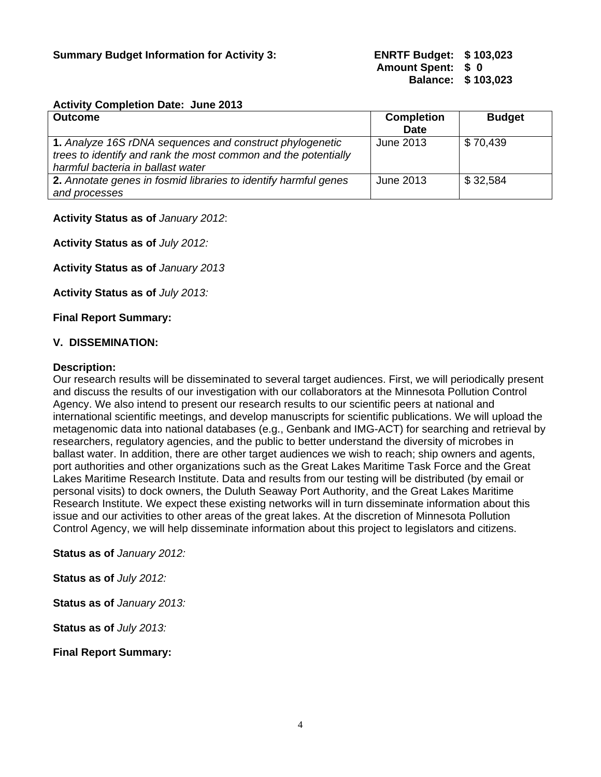| <b>ENRTF Budget:</b> | \$103,023 |
|----------------------|-----------|
| <b>Amount Spent:</b> | S O       |
| <b>Balance:</b>      | \$103,023 |

#### **Activity Completion Date: June 2013**

| <b>Outcome</b>                                                  | <b>Completion</b> | <b>Budget</b> |
|-----------------------------------------------------------------|-------------------|---------------|
|                                                                 | <b>Date</b>       |               |
| 1. Analyze 16S rDNA sequences and construct phylogenetic        | June 2013         | \$70,439      |
| trees to identify and rank the most common and the potentially  |                   |               |
| harmful bacteria in ballast water                               |                   |               |
| 2. Annotate genes in fosmid libraries to identify harmful genes | June 2013         | \$32,584      |
| and processes                                                   |                   |               |

**Activity Status as of** *January 2012*:

**Activity Status as of** *July 2012:*

**Activity Status as of** *January 2013*

**Activity Status as of** *July 2013:*

**Final Report Summary:**

#### **V. DISSEMINATION:**

#### **Description:**

Our research results will be disseminated to several target audiences. First, we will periodically present and discuss the results of our investigation with our collaborators at the Minnesota Pollution Control Agency. We also intend to present our research results to our scientific peers at national and international scientific meetings, and develop manuscripts for scientific publications. We will upload the metagenomic data into national databases (e.g., Genbank and IMG-ACT) for searching and retrieval by researchers, regulatory agencies, and the public to better understand the diversity of microbes in ballast water. In addition, there are other target audiences we wish to reach; ship owners and agents, port authorities and other organizations such as the Great Lakes Maritime Task Force and the Great Lakes Maritime Research Institute. Data and results from our testing will be distributed (by email or personal visits) to dock owners, the Duluth Seaway Port Authority, and the Great Lakes Maritime Research Institute. We expect these existing networks will in turn disseminate information about this issue and our activities to other areas of the great lakes. At the discretion of Minnesota Pollution Control Agency, we will help disseminate information about this project to legislators and citizens.

**Status as of** *January 2012:*

**Status as of** *July 2012:*

**Status as of** *January 2013:*

**Status as of** *July 2013:*

**Final Report Summary:**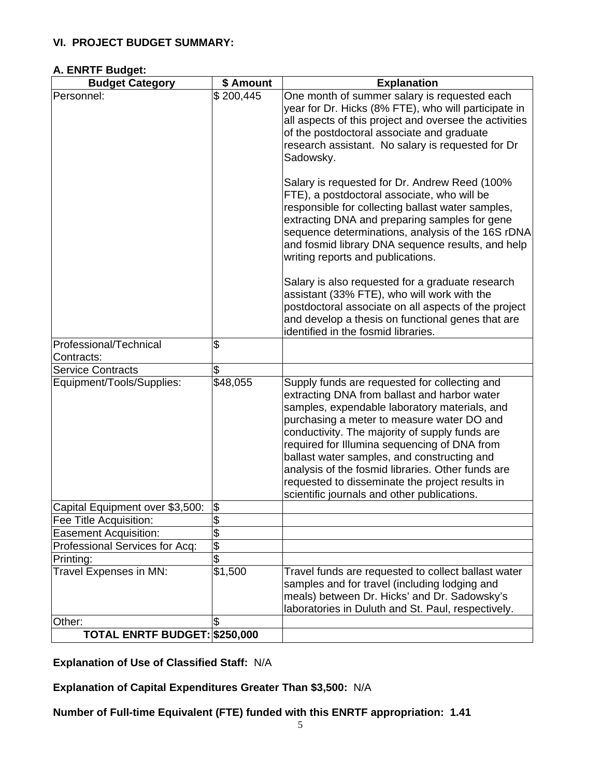# **VI. PROJECT BUDGET SUMMARY:**

#### **A. ENRTF Budget:**

| <b>Budget Category</b>                                | \$ Amount                | <b>Explanation</b>                                                                                                                                                                                                                                                                                                                                                                                                                                                                                                                                                                                                                  |
|-------------------------------------------------------|--------------------------|-------------------------------------------------------------------------------------------------------------------------------------------------------------------------------------------------------------------------------------------------------------------------------------------------------------------------------------------------------------------------------------------------------------------------------------------------------------------------------------------------------------------------------------------------------------------------------------------------------------------------------------|
| Personnel:                                            | \$200,445                | One month of summer salary is requested each<br>year for Dr. Hicks (8% FTE), who will participate in<br>all aspects of this project and oversee the activities<br>of the postdoctoral associate and graduate<br>research assistant. No salary is requested for Dr<br>Sadowsky.<br>Salary is requested for Dr. Andrew Reed (100%<br>FTE), a postdoctoral associate, who will be<br>responsible for collecting ballast water samples,<br>extracting DNA and preparing samples for gene<br>sequence determinations, analysis of the 16S rDNA<br>and fosmid library DNA sequence results, and help<br>writing reports and publications. |
|                                                       |                          | Salary is also requested for a graduate research<br>assistant (33% FTE), who will work with the<br>postdoctoral associate on all aspects of the project<br>and develop a thesis on functional genes that are<br>identified in the fosmid libraries.                                                                                                                                                                                                                                                                                                                                                                                 |
| Professional/Technical                                | $\mathfrak{S}$           |                                                                                                                                                                                                                                                                                                                                                                                                                                                                                                                                                                                                                                     |
| Contracts:                                            |                          |                                                                                                                                                                                                                                                                                                                                                                                                                                                                                                                                                                                                                                     |
| <b>Service Contracts</b><br>Equipment/Tools/Supplies: | \$<br>\$48,055           | Supply funds are requested for collecting and<br>extracting DNA from ballast and harbor water<br>samples, expendable laboratory materials, and<br>purchasing a meter to measure water DO and<br>conductivity. The majority of supply funds are<br>required for Illumina sequencing of DNA from<br>ballast water samples, and constructing and<br>analysis of the fosmid libraries. Other funds are<br>requested to disseminate the project results in<br>scientific journals and other publications.                                                                                                                                |
| Capital Equipment over \$3,500:                       | \$                       |                                                                                                                                                                                                                                                                                                                                                                                                                                                                                                                                                                                                                                     |
| Fee Title Acquisition:                                | $\frac{1}{2}$            |                                                                                                                                                                                                                                                                                                                                                                                                                                                                                                                                                                                                                                     |
| <b>Easement Acquisition:</b>                          | $\overline{\$}$          |                                                                                                                                                                                                                                                                                                                                                                                                                                                                                                                                                                                                                                     |
| Professional Services for Acq:                        | \$                       |                                                                                                                                                                                                                                                                                                                                                                                                                                                                                                                                                                                                                                     |
| Printing:                                             | $\overline{\mathcal{S}}$ |                                                                                                                                                                                                                                                                                                                                                                                                                                                                                                                                                                                                                                     |
| Travel Expenses in MN:                                | $\sqrt{$1,500}$          | Travel funds are requested to collect ballast water<br>samples and for travel (including lodging and<br>meals) between Dr. Hicks' and Dr. Sadowsky's<br>laboratories in Duluth and St. Paul, respectively.                                                                                                                                                                                                                                                                                                                                                                                                                          |
| Other:                                                | \$                       |                                                                                                                                                                                                                                                                                                                                                                                                                                                                                                                                                                                                                                     |
| TOTAL ENRTF BUDGET: \$250,000                         |                          |                                                                                                                                                                                                                                                                                                                                                                                                                                                                                                                                                                                                                                     |

**Explanation of Use of Classified Staff:** N/A

**Explanation of Capital Expenditures Greater Than \$3,500:** N/A

**Number of Full-time Equivalent (FTE) funded with this ENRTF appropriation: 1.41**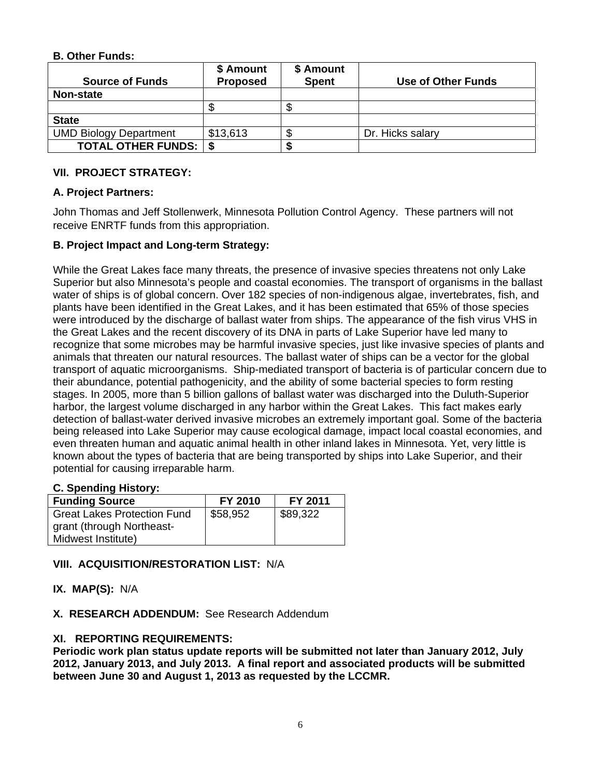## **B. Other Funds:**

| <b>Source of Funds</b>         | \$ Amount<br><b>Proposed</b> | \$ Amount<br><b>Spent</b> | Use of Other Funds |
|--------------------------------|------------------------------|---------------------------|--------------------|
| <b>Non-state</b>               |                              |                           |                    |
|                                |                              |                           |                    |
| <b>State</b>                   |                              |                           |                    |
| <b>UMD Biology Department</b>  | \$13,613                     |                           | Dr. Hicks salary   |
| <b>TOTAL OTHER FUNDS:   \$</b> |                              |                           |                    |

# **VII. PROJECT STRATEGY:**

# **A. Project Partners:**

John Thomas and Jeff Stollenwerk, Minnesota Pollution Control Agency. These partners will not receive ENRTF funds from this appropriation.

# **B. Project Impact and Long-term Strategy:**

While the Great Lakes face many threats, the presence of invasive species threatens not only Lake Superior but also Minnesota's people and coastal economies. The transport of organisms in the ballast water of ships is of global concern. Over 182 species of non-indigenous algae, invertebrates, fish, and plants have been identified in the Great Lakes, and it has been estimated that 65% of those species were introduced by the discharge of ballast water from ships. The appearance of the fish virus VHS in the Great Lakes and the recent discovery of its DNA in parts of Lake Superior have led many to recognize that some microbes may be harmful invasive species, just like invasive species of plants and animals that threaten our natural resources. The ballast water of ships can be a vector for the global transport of aquatic microorganisms. Ship-mediated transport of bacteria is of particular concern due to their abundance, potential pathogenicity, and the ability of some bacterial species to form resting stages. In 2005, more than 5 billion gallons of ballast water was discharged into the Duluth-Superior harbor, the largest volume discharged in any harbor within the Great Lakes. This fact makes early detection of ballast-water derived invasive microbes an extremely important goal. Some of the bacteria being released into Lake Superior may cause ecological damage, impact local coastal economies, and even threaten human and aquatic animal health in other inland lakes in Minnesota. Yet, very little is known about the types of bacteria that are being transported by ships into Lake Superior, and their potential for causing irreparable harm.

## **C. Spending History:**

| <b>Funding Source</b>              | <b>FY 2010</b> | FY 2011  |
|------------------------------------|----------------|----------|
| <b>Great Lakes Protection Fund</b> | \$58,952       | \$89,322 |
| grant (through Northeast-          |                |          |
| Midwest Institute)                 |                |          |

## **VIII. ACQUISITION/RESTORATION LIST:** N/A

**IX. MAP(S):** N/A

## **X. RESEARCH ADDENDUM:** See Research Addendum

## **XI. REPORTING REQUIREMENTS:**

**Periodic work plan status update reports will be submitted not later than January 2012, July 2012, January 2013, and July 2013. A final report and associated products will be submitted between June 30 and August 1, 2013 as requested by the LCCMR.**